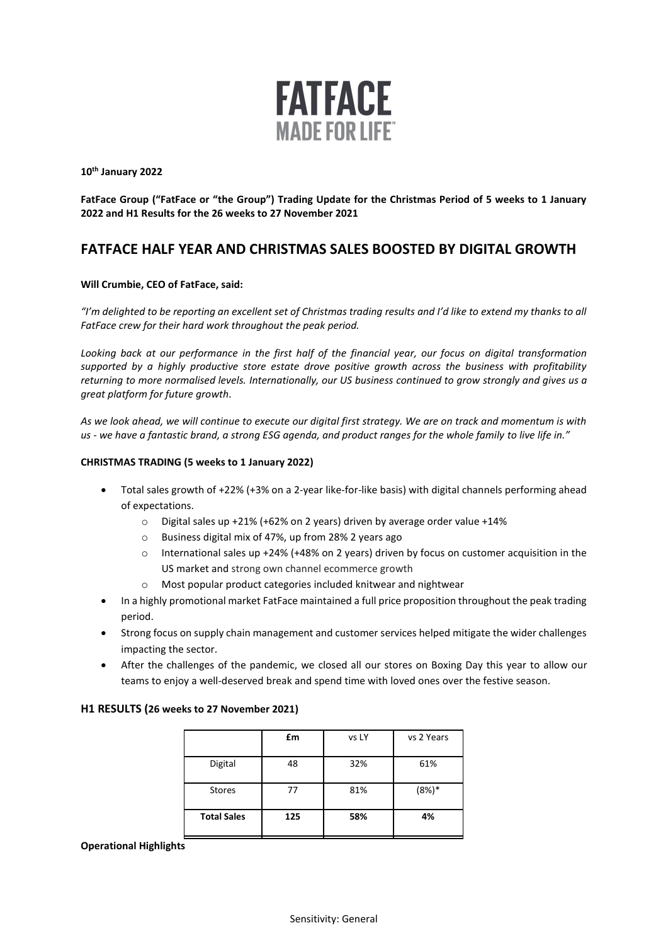

**10th January 2022**

**FatFace Group ("FatFace or "the Group") Trading Update for the Christmas Period of 5 weeks to 1 January 2022 and H1 Results for the 26 weeks to 27 November 2021** 

# **FATFACE HALF YEAR AND CHRISTMAS SALES BOOSTED BY DIGITAL GROWTH**

# **Will Crumbie, CEO of FatFace, said:**

*"I'm delighted to be reporting an excellent set of Christmas trading results and I'd like to extend my thanks to all FatFace crew for their hard work throughout the peak period.* 

*Looking back at our performance in the first half of the financial year, our focus on digital transformation supported by a highly productive store estate drove positive growth across the business with profitability returning to more normalised levels. Internationally, our US business continued to grow strongly and gives us a great platform for future growth.* 

*As we look ahead, we will continue to execute our digital first strategy. We are on track and momentum is with us - we have a fantastic brand, a strong ESG agenda, and product ranges for the whole family to live life in."*

# **CHRISTMAS TRADING (5 weeks to 1 January 2022)**

- Total sales growth of +22% (+3% on a 2-year like-for-like basis) with digital channels performing ahead of expectations.
	- o Digital sales up +21% (+62% on 2 years) driven by average order value +14%
	- o Business digital mix of 47%, up from 28% 2 years ago
	- o International sales up +24% (+48% on 2 years) driven by focus on customer acquisition in the US market and strong own channel ecommerce growth
	- o Most popular product categories included knitwear and nightwear
- In a highly promotional market FatFace maintained a full price proposition throughout the peak trading period.
- Strong focus on supply chain management and customer services helped mitigate the wider challenges impacting the sector.
- After the challenges of the pandemic, we closed all our stores on Boxing Day this year to allow our teams to enjoy a well-deserved break and spend time with loved ones over the festive season.

## **H1 RESULTS (26 weeks to 27 November 2021)**

|                    | £m  | vs LY | vs 2 Years |
|--------------------|-----|-------|------------|
| Digital            | 48  | 32%   | 61%        |
| <b>Stores</b>      | 77  | 81%   | $(8%)*$    |
| <b>Total Sales</b> | 125 | 58%   | 4%         |

## **Operational Highlights**